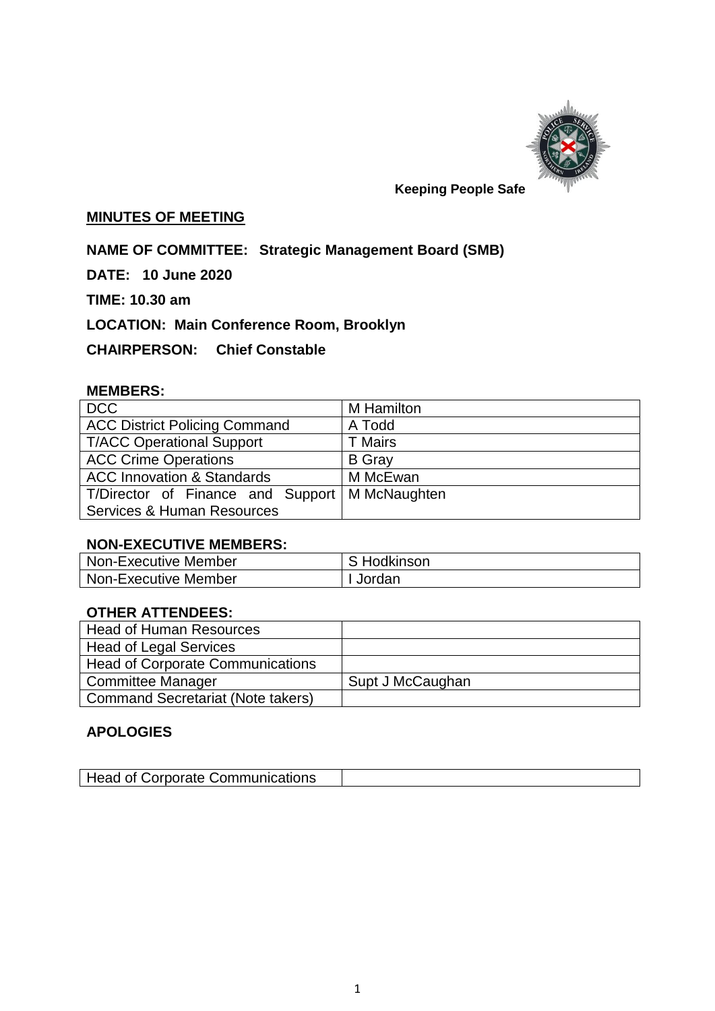

## **Keeping People Safe**

## **MINUTES OF MEETING**

**NAME OF COMMITTEE: Strategic Management Board (SMB)**

**DATE: 10 June 2020**

**TIME: 10.30 am**

**LOCATION: Main Conference Room, Brooklyn**

**CHAIRPERSON: Chief Constable** 

## **MEMBERS:**

| <b>DCC</b>                            | M Hamilton     |
|---------------------------------------|----------------|
| <b>ACC District Policing Command</b>  | A Todd         |
| <b>T/ACC Operational Support</b>      | <b>T</b> Mairs |
| <b>ACC Crime Operations</b>           | <b>B</b> Gray  |
| <b>ACC Innovation &amp; Standards</b> | M McEwan       |
| T/Director of Finance and Support     | M McNaughten   |
| Services & Human Resources            |                |

#### **NON-EXECUTIVE MEMBERS:**

| <b>Non-Executive Member</b> | S Hodkinson |
|-----------------------------|-------------|
| <b>Non-Executive Member</b> | Jordan      |

## **OTHER ATTENDEES:**

| <b>Head of Human Resources</b>          |                  |
|-----------------------------------------|------------------|
| <b>Head of Legal Services</b>           |                  |
| <b>Head of Corporate Communications</b> |                  |
| Committee Manager                       | Supt J McCaughan |
| Command Secretariat (Note takers)       |                  |

## **APOLOGIES**

|  | Head of Corporate Communications |  |
|--|----------------------------------|--|
|--|----------------------------------|--|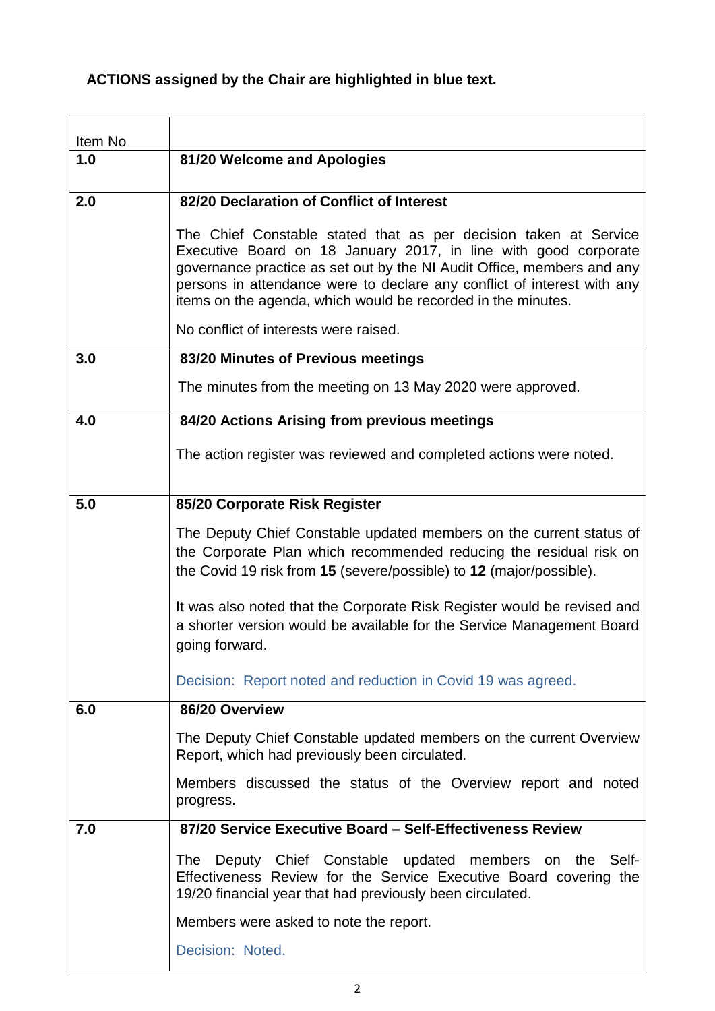# **ACTIONS assigned by the Chair are highlighted in blue text.**

| Item No |                                                                                                                                                                                                                                                                                                                                                          |
|---------|----------------------------------------------------------------------------------------------------------------------------------------------------------------------------------------------------------------------------------------------------------------------------------------------------------------------------------------------------------|
| 1.0     | 81/20 Welcome and Apologies                                                                                                                                                                                                                                                                                                                              |
| 2.0     | 82/20 Declaration of Conflict of Interest                                                                                                                                                                                                                                                                                                                |
|         |                                                                                                                                                                                                                                                                                                                                                          |
|         | The Chief Constable stated that as per decision taken at Service<br>Executive Board on 18 January 2017, in line with good corporate<br>governance practice as set out by the NI Audit Office, members and any<br>persons in attendance were to declare any conflict of interest with any<br>items on the agenda, which would be recorded in the minutes. |
|         | No conflict of interests were raised.                                                                                                                                                                                                                                                                                                                    |
| 3.0     | 83/20 Minutes of Previous meetings                                                                                                                                                                                                                                                                                                                       |
|         | The minutes from the meeting on 13 May 2020 were approved.                                                                                                                                                                                                                                                                                               |
| 4.0     | 84/20 Actions Arising from previous meetings                                                                                                                                                                                                                                                                                                             |
|         | The action register was reviewed and completed actions were noted.                                                                                                                                                                                                                                                                                       |
| 5.0     | 85/20 Corporate Risk Register                                                                                                                                                                                                                                                                                                                            |
|         | The Deputy Chief Constable updated members on the current status of<br>the Corporate Plan which recommended reducing the residual risk on<br>the Covid 19 risk from 15 (severe/possible) to 12 (major/possible).                                                                                                                                         |
|         | It was also noted that the Corporate Risk Register would be revised and<br>a shorter version would be available for the Service Management Board<br>going forward.                                                                                                                                                                                       |
|         | Decision: Report noted and reduction in Covid 19 was agreed.                                                                                                                                                                                                                                                                                             |
| 6.0     | 86/20 Overview                                                                                                                                                                                                                                                                                                                                           |
|         | The Deputy Chief Constable updated members on the current Overview<br>Report, which had previously been circulated.                                                                                                                                                                                                                                      |
|         | Members discussed the status of the Overview report and noted<br>progress.                                                                                                                                                                                                                                                                               |
| 7.0     | 87/20 Service Executive Board - Self-Effectiveness Review                                                                                                                                                                                                                                                                                                |
|         | Deputy Chief Constable updated members on the Self-<br>The<br>Effectiveness Review for the Service Executive Board covering the<br>19/20 financial year that had previously been circulated.                                                                                                                                                             |
|         | Members were asked to note the report.                                                                                                                                                                                                                                                                                                                   |
|         | Decision: Noted.                                                                                                                                                                                                                                                                                                                                         |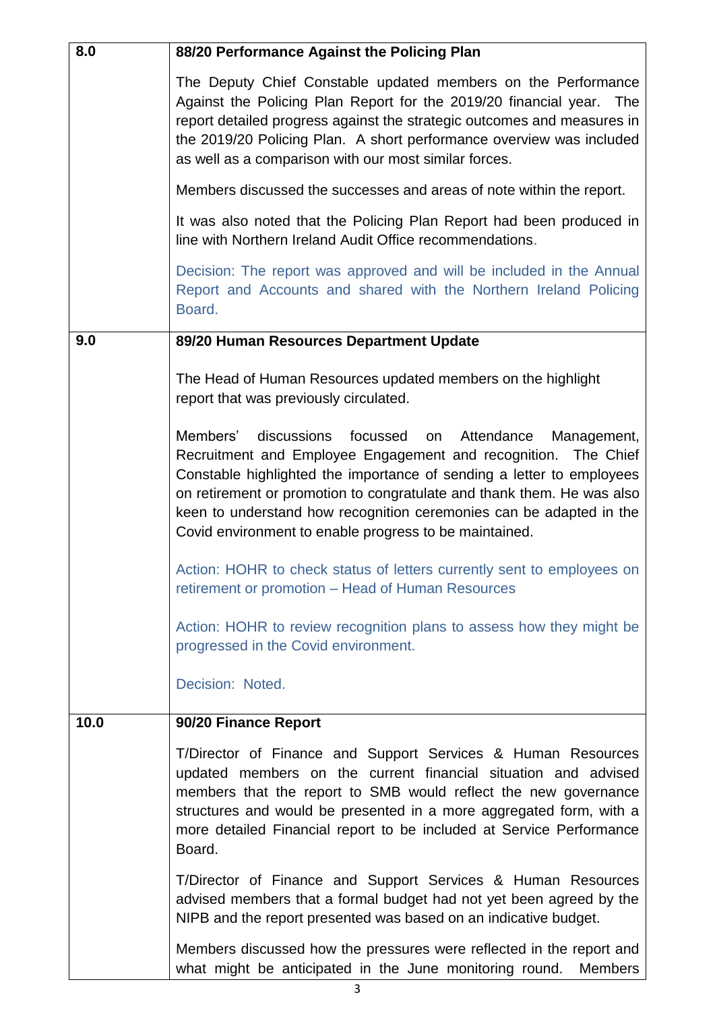| 8.0  | 88/20 Performance Against the Policing Plan                                                                                                                                                                                                                                                                                                                                                                   |
|------|---------------------------------------------------------------------------------------------------------------------------------------------------------------------------------------------------------------------------------------------------------------------------------------------------------------------------------------------------------------------------------------------------------------|
|      | The Deputy Chief Constable updated members on the Performance<br>Against the Policing Plan Report for the 2019/20 financial year.<br>The<br>report detailed progress against the strategic outcomes and measures in<br>the 2019/20 Policing Plan. A short performance overview was included<br>as well as a comparison with our most similar forces.                                                          |
|      | Members discussed the successes and areas of note within the report.                                                                                                                                                                                                                                                                                                                                          |
|      | It was also noted that the Policing Plan Report had been produced in<br>line with Northern Ireland Audit Office recommendations.                                                                                                                                                                                                                                                                              |
|      | Decision: The report was approved and will be included in the Annual<br>Report and Accounts and shared with the Northern Ireland Policing<br>Board.                                                                                                                                                                                                                                                           |
| 9.0  | 89/20 Human Resources Department Update                                                                                                                                                                                                                                                                                                                                                                       |
|      | The Head of Human Resources updated members on the highlight<br>report that was previously circulated.                                                                                                                                                                                                                                                                                                        |
|      | Members' discussions focussed on Attendance Management,<br>Recruitment and Employee Engagement and recognition. The Chief<br>Constable highlighted the importance of sending a letter to employees<br>on retirement or promotion to congratulate and thank them. He was also<br>keen to understand how recognition ceremonies can be adapted in the<br>Covid environment to enable progress to be maintained. |
|      | Action: HOHR to check status of letters currently sent to employees on<br>retirement or promotion - Head of Human Resources                                                                                                                                                                                                                                                                                   |
|      | Action: HOHR to review recognition plans to assess how they might be<br>progressed in the Covid environment.                                                                                                                                                                                                                                                                                                  |
|      | Decision: Noted.                                                                                                                                                                                                                                                                                                                                                                                              |
| 10.0 | 90/20 Finance Report                                                                                                                                                                                                                                                                                                                                                                                          |
|      | T/Director of Finance and Support Services & Human Resources<br>updated members on the current financial situation and advised<br>members that the report to SMB would reflect the new governance<br>structures and would be presented in a more aggregated form, with a<br>more detailed Financial report to be included at Service Performance<br>Board.                                                    |
|      | T/Director of Finance and Support Services & Human Resources<br>advised members that a formal budget had not yet been agreed by the<br>NIPB and the report presented was based on an indicative budget.                                                                                                                                                                                                       |
|      | Members discussed how the pressures were reflected in the report and<br>what might be anticipated in the June monitoring round.<br><b>Members</b>                                                                                                                                                                                                                                                             |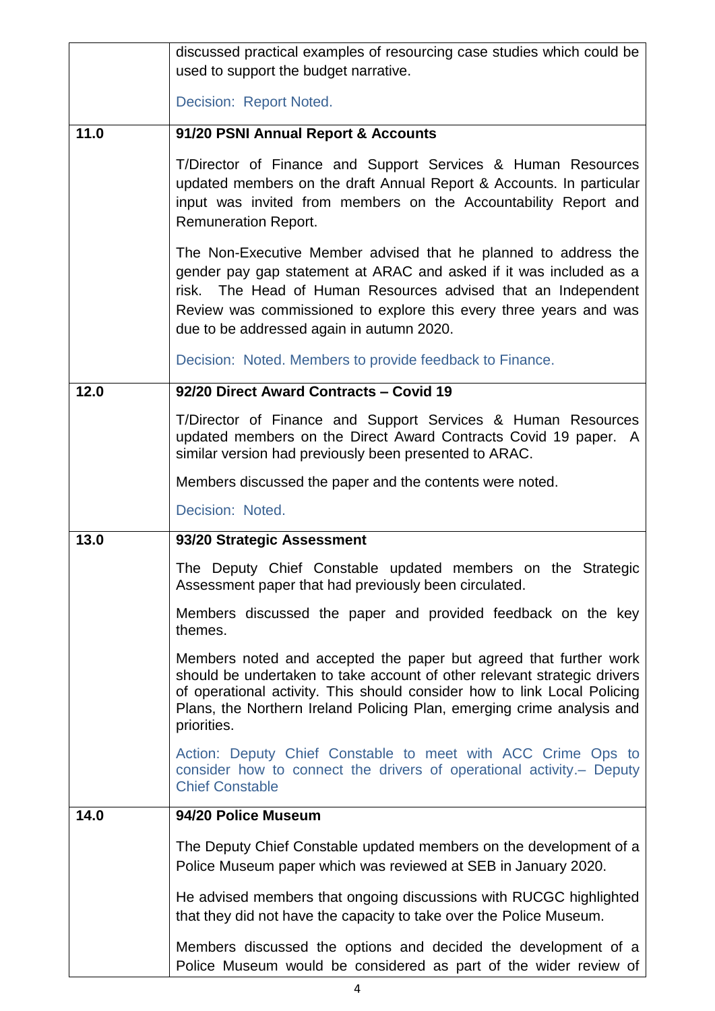|      | discussed practical examples of resourcing case studies which could be<br>used to support the budget narrative.                                                                                                                                                                                                          |
|------|--------------------------------------------------------------------------------------------------------------------------------------------------------------------------------------------------------------------------------------------------------------------------------------------------------------------------|
|      | Decision: Report Noted.                                                                                                                                                                                                                                                                                                  |
|      |                                                                                                                                                                                                                                                                                                                          |
| 11.0 | 91/20 PSNI Annual Report & Accounts                                                                                                                                                                                                                                                                                      |
|      | T/Director of Finance and Support Services & Human Resources<br>updated members on the draft Annual Report & Accounts. In particular<br>input was invited from members on the Accountability Report and<br><b>Remuneration Report.</b>                                                                                   |
|      | The Non-Executive Member advised that he planned to address the<br>gender pay gap statement at ARAC and asked if it was included as a<br>risk. The Head of Human Resources advised that an Independent<br>Review was commissioned to explore this every three years and was<br>due to be addressed again in autumn 2020. |
|      | Decision: Noted. Members to provide feedback to Finance.                                                                                                                                                                                                                                                                 |
| 12.0 | 92/20 Direct Award Contracts - Covid 19                                                                                                                                                                                                                                                                                  |
|      | T/Director of Finance and Support Services & Human Resources<br>updated members on the Direct Award Contracts Covid 19 paper. A<br>similar version had previously been presented to ARAC.                                                                                                                                |
|      | Members discussed the paper and the contents were noted.                                                                                                                                                                                                                                                                 |
|      | Decision: Noted.                                                                                                                                                                                                                                                                                                         |
| 13.0 | 93/20 Strategic Assessment                                                                                                                                                                                                                                                                                               |
|      | The Deputy Chief Constable updated members on the Strategic<br>Assessment paper that had previously been circulated.                                                                                                                                                                                                     |
|      | Members discussed the paper and provided feedback on the key<br>themes.                                                                                                                                                                                                                                                  |
|      | Members noted and accepted the paper but agreed that further work<br>should be undertaken to take account of other relevant strategic drivers<br>of operational activity. This should consider how to link Local Policing<br>Plans, the Northern Ireland Policing Plan, emerging crime analysis and<br>priorities.       |
|      | Action: Deputy Chief Constable to meet with ACC Crime Ops to<br>consider how to connect the drivers of operational activity. - Deputy<br><b>Chief Constable</b>                                                                                                                                                          |
| 14.0 | 94/20 Police Museum                                                                                                                                                                                                                                                                                                      |
|      | The Deputy Chief Constable updated members on the development of a<br>Police Museum paper which was reviewed at SEB in January 2020.                                                                                                                                                                                     |
|      | He advised members that ongoing discussions with RUCGC highlighted<br>that they did not have the capacity to take over the Police Museum.                                                                                                                                                                                |
|      | Members discussed the options and decided the development of a<br>Police Museum would be considered as part of the wider review of                                                                                                                                                                                       |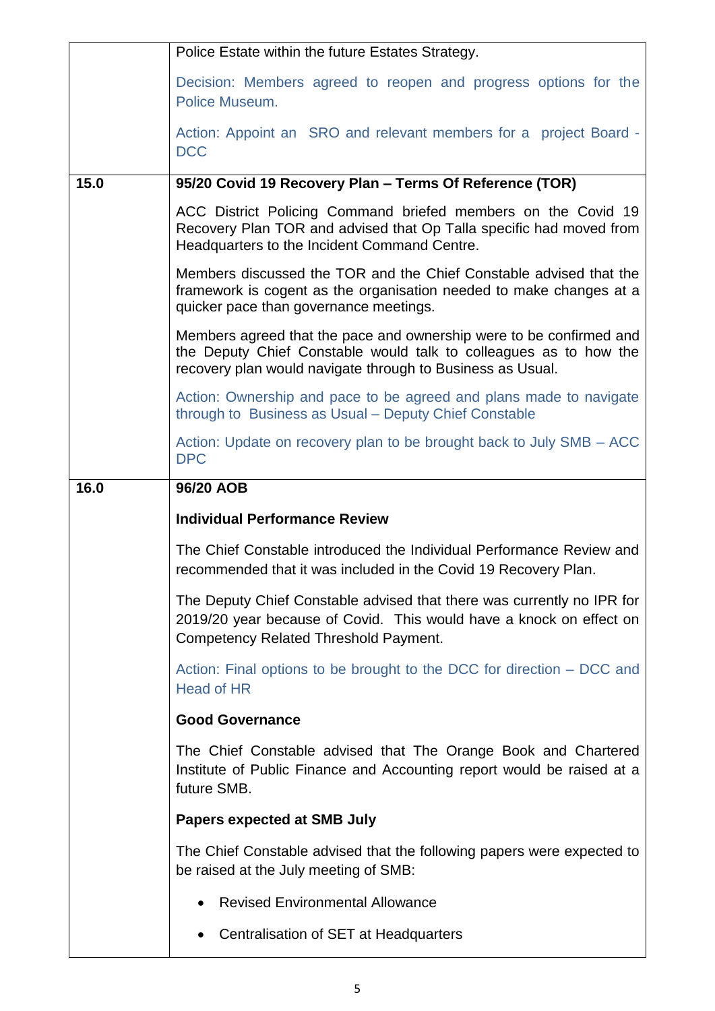|      | Police Estate within the future Estates Strategy.                                                                                                                                                      |
|------|--------------------------------------------------------------------------------------------------------------------------------------------------------------------------------------------------------|
|      | Decision: Members agreed to reopen and progress options for the<br>Police Museum.                                                                                                                      |
|      | Action: Appoint an SRO and relevant members for a project Board -<br><b>DCC</b>                                                                                                                        |
| 15.0 | 95/20 Covid 19 Recovery Plan - Terms Of Reference (TOR)                                                                                                                                                |
|      | ACC District Policing Command briefed members on the Covid 19<br>Recovery Plan TOR and advised that Op Talla specific had moved from<br>Headquarters to the Incident Command Centre.                   |
|      | Members discussed the TOR and the Chief Constable advised that the<br>framework is cogent as the organisation needed to make changes at a<br>quicker pace than governance meetings.                    |
|      | Members agreed that the pace and ownership were to be confirmed and<br>the Deputy Chief Constable would talk to colleagues as to how the<br>recovery plan would navigate through to Business as Usual. |
|      | Action: Ownership and pace to be agreed and plans made to navigate<br>through to Business as Usual – Deputy Chief Constable                                                                            |
|      | Action: Update on recovery plan to be brought back to July SMB – ACC<br><b>DPC</b>                                                                                                                     |
| 16.0 | 96/20 AOB                                                                                                                                                                                              |
|      | <b>Individual Performance Review</b>                                                                                                                                                                   |
|      | The Chief Constable introduced the Individual Performance Review and<br>recommended that it was included in the Covid 19 Recovery Plan.                                                                |
|      | The Deputy Chief Constable advised that there was currently no IPR for<br>2019/20 year because of Covid. This would have a knock on effect on<br><b>Competency Related Threshold Payment.</b>          |
|      | Action: Final options to be brought to the DCC for direction – DCC and<br><b>Head of HR</b>                                                                                                            |
|      | <b>Good Governance</b>                                                                                                                                                                                 |
|      | The Chief Constable advised that The Orange Book and Chartered<br>Institute of Public Finance and Accounting report would be raised at a<br>future SMB.                                                |
|      | Papers expected at SMB July                                                                                                                                                                            |
|      | The Chief Constable advised that the following papers were expected to<br>be raised at the July meeting of SMB:                                                                                        |
|      |                                                                                                                                                                                                        |
|      | <b>Revised Environmental Allowance</b>                                                                                                                                                                 |